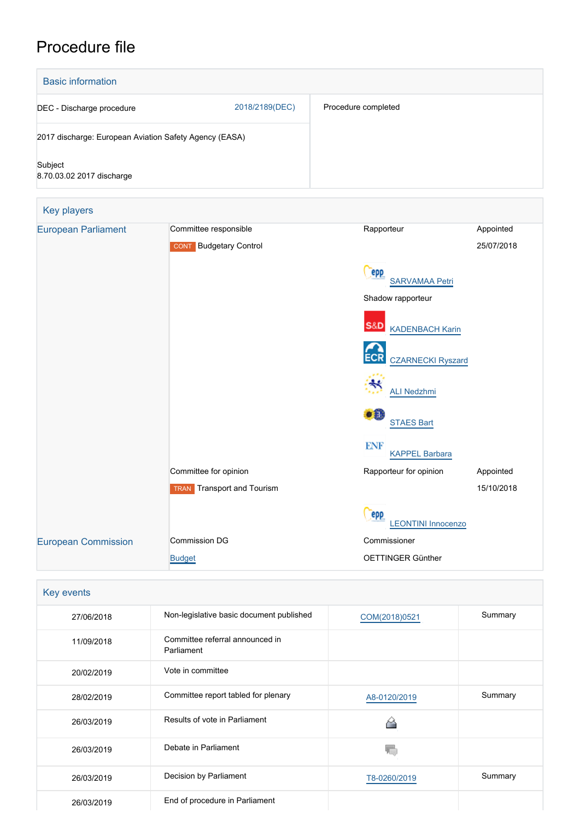# Procedure file

| <b>Basic information</b>                               |                                         |                              |            |  |  |
|--------------------------------------------------------|-----------------------------------------|------------------------------|------------|--|--|
| DEC - Discharge procedure                              | 2018/2189(DEC)                          | Procedure completed          |            |  |  |
| 2017 discharge: European Aviation Safety Agency (EASA) |                                         |                              |            |  |  |
| Subject<br>8.70.03.02 2017 discharge                   |                                         |                              |            |  |  |
| Key players                                            |                                         |                              |            |  |  |
| <b>European Parliament</b>                             | Committee responsible                   | Rapporteur                   | Appointed  |  |  |
|                                                        | <b>Budgetary Control</b><br><b>CONT</b> |                              | 25/07/2018 |  |  |
|                                                        |                                         | epp<br><b>SARVAMAA Petri</b> |            |  |  |



| S&D | <b>KADENBACH Karin</b>   |
|-----|--------------------------|
| ECR | <b>CZARNECKI Ryszard</b> |
|     | <b>ALI Nedzhmi</b>       |
|     | <b>STAES Bart</b>        |
| ENF | <b>KAPPEL Barbara</b>    |

Committee for opinion and a state of the Rapporteur for opinion and Appointed

15/10/2018

[LEONTINI Innocenzo](http://www.europarl.europa.eu/meps/en/72754)

Commissioner

OETTINGER Günther

**Cepp** 

| Key events |                                               |               |         |  |  |
|------------|-----------------------------------------------|---------------|---------|--|--|
| 27/06/2018 | Non-legislative basic document published      | COM(2018)0521 | Summary |  |  |
| 11/09/2018 | Committee referral announced in<br>Parliament |               |         |  |  |
| 20/02/2019 | Vote in committee                             |               |         |  |  |
| 28/02/2019 | Committee report tabled for plenary           | A8-0120/2019  | Summary |  |  |
| 26/03/2019 | Results of vote in Parliament                 |               |         |  |  |
| 26/03/2019 | Debate in Parliament                          |               |         |  |  |
| 26/03/2019 | Decision by Parliament                        | T8-0260/2019  | Summary |  |  |
| 26/03/2019 | End of procedure in Parliament                |               |         |  |  |

TRAN Transport and Tourism

[European Commission](http://ec.europa.eu/) Commission DG

[Budget](http://ec.europa.eu/info/departments/budget_en)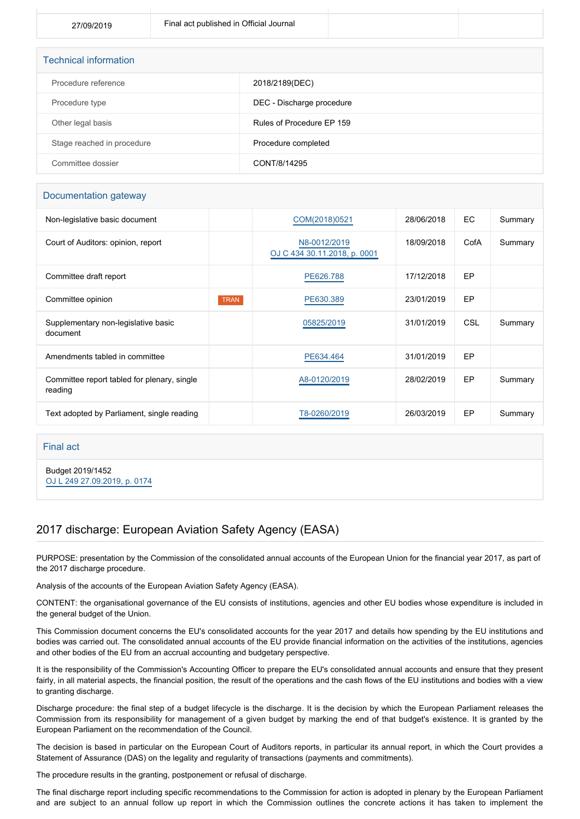| <b>Technical information</b> |                           |  |  |  |
|------------------------------|---------------------------|--|--|--|
| Procedure reference          | 2018/2189(DEC)            |  |  |  |
| Procedure type               | DEC - Discharge procedure |  |  |  |
| Other legal basis            | Rules of Procedure EP 159 |  |  |  |
| Stage reached in procedure   | Procedure completed       |  |  |  |
| Committee dossier            | CONT/8/14295              |  |  |  |

#### Documentation gateway

| Non-legislative basic document                         |             | COM(2018)0521                                | 28/06/2018 | EC         | Summary |
|--------------------------------------------------------|-------------|----------------------------------------------|------------|------------|---------|
| Court of Auditors: opinion, report                     |             | N8-0012/2019<br>OJ C 434 30.11.2018, p. 0001 | 18/09/2018 | CofA       | Summary |
| Committee draft report                                 |             | PE626.788                                    | 17/12/2018 | EP         |         |
| Committee opinion                                      | <b>TRAN</b> | PE630.389                                    | 23/01/2019 | EP         |         |
| Supplementary non-legislative basic<br>document        |             | 05825/2019                                   | 31/01/2019 | <b>CSL</b> | Summary |
| Amendments tabled in committee                         |             | PE634.464                                    | 31/01/2019 | EP         |         |
| Committee report tabled for plenary, single<br>reading |             | A8-0120/2019                                 | 28/02/2019 | EP         | Summary |
| Text adopted by Parliament, single reading             |             | T8-0260/2019                                 | 26/03/2019 | EP         | Summary |

Final act

Budget 2019/1452 [OJ L 249 27.09.2019, p. 0174](https://eur-lex.europa.eu/legal-content/EN/TXT/?uri=OJ:L:2019:249:TOC)

### 2017 discharge: European Aviation Safety Agency (EASA)

PURPOSE: presentation by the Commission of the consolidated annual accounts of the European Union for the financial year 2017, as part of the 2017 discharge procedure.

Analysis of the accounts of the European Aviation Safety Agency (EASA).

CONTENT: the organisational governance of the EU consists of institutions, agencies and other EU bodies whose expenditure is included in the general budget of the Union.

This Commission document concerns the EU's consolidated accounts for the year 2017 and details how spending by the EU institutions and bodies was carried out. The consolidated annual accounts of the EU provide financial information on the activities of the institutions, agencies and other bodies of the EU from an accrual accounting and budgetary perspective.

It is the responsibility of the Commission's Accounting Officer to prepare the EU's consolidated annual accounts and ensure that they present fairly, in all material aspects, the financial position, the result of the operations and the cash flows of the EU institutions and bodies with a view to granting discharge.

Discharge procedure: the final step of a budget lifecycle is the discharge. It is the decision by which the European Parliament releases the Commission from its responsibility for management of a given budget by marking the end of that budget's existence. It is granted by the European Parliament on the recommendation of the Council.

The decision is based in particular on the European Court of Auditors reports, in particular its annual report, in which the Court provides a Statement of Assurance (DAS) on the legality and regularity of transactions (payments and commitments).

The procedure results in the granting, postponement or refusal of discharge.

The final discharge report including specific recommendations to the Commission for action is adopted in plenary by the European Parliament and are subject to an annual follow up report in which the Commission outlines the concrete actions it has taken to implement the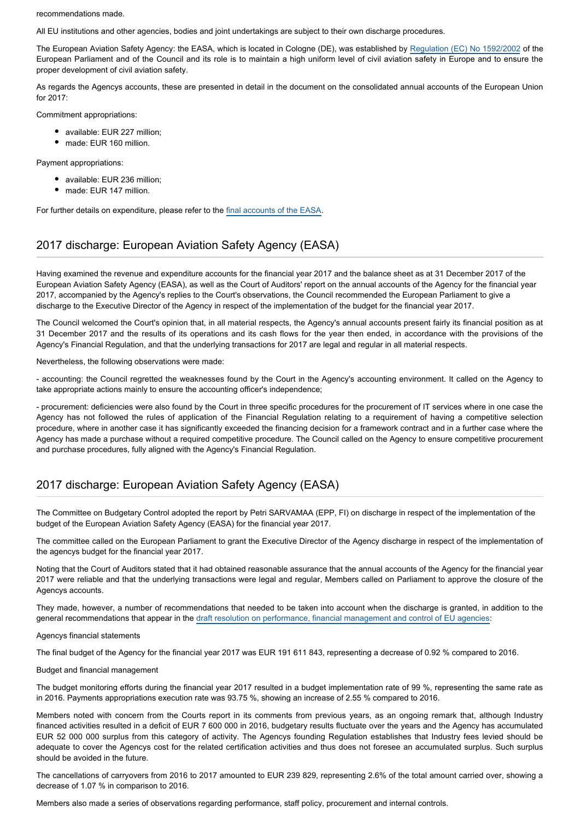recommendations made.

All EU institutions and other agencies, bodies and joint undertakings are subject to their own discharge procedures.

The European Aviation Safety Agency: the EASA, which is located in Cologne (DE), was established by [Regulation \(EC\) No 1592/2002](http://eur-lex.europa.eu/legal-content/EN/TXT/PDF/?uri=CELEX:32002R1592&from=EN) of the European Parliament and of the Council and its role is to maintain a high uniform level of civil aviation safety in Europe and to ensure the proper development of civil aviation safety.

As regards the Agencys accounts, these are presented in detail in the document on the consolidated annual accounts of the European Union for 2017:

Commitment appropriations:

- available: EUR 227 million:
- made: EUR 160 million.

Payment appropriations:

- available: EUR 236 million;
- made: EUR 147 million.

For further details on expenditure, please refer to the [final accounts of the EASA](http://www.europarl.europa.eu/cmsdata/149783/Annual%20Accounts%202017%20(without%20letter).pdf).

### 2017 discharge: European Aviation Safety Agency (EASA)

Having examined the revenue and expenditure accounts for the financial year 2017 and the balance sheet as at 31 December 2017 of the European Aviation Safety Agency (EASA), as well as the Court of Auditors' report on the annual accounts of the Agency for the financial year 2017, accompanied by the Agency's replies to the Court's observations, the Council recommended the European Parliament to give a discharge to the Executive Director of the Agency in respect of the implementation of the budget for the financial year 2017.

The Council welcomed the Court's opinion that, in all material respects, the Agency's annual accounts present fairly its financial position as at 31 December 2017 and the results of its operations and its cash flows for the year then ended, in accordance with the provisions of the Agency's Financial Regulation, and that the underlying transactions for 2017 are legal and regular in all material respects.

Nevertheless, the following observations were made:

- accounting: the Council regretted the weaknesses found by the Court in the Agency's accounting environment. It called on the Agency to take appropriate actions mainly to ensure the accounting officer's independence;

- procurement: deficiencies were also found by the Court in three specific procedures for the procurement of IT services where in one case the Agency has not followed the rules of application of the Financial Regulation relating to a requirement of having a competitive selection procedure, where in another case it has significantly exceeded the financing decision for a framework contract and in a further case where the Agency has made a purchase without a required competitive procedure. The Council called on the Agency to ensure competitive procurement and purchase procedures, fully aligned with the Agency's Financial Regulation.

### 2017 discharge: European Aviation Safety Agency (EASA)

The Committee on Budgetary Control adopted the report by Petri SARVAMAA (EPP, FI) on discharge in respect of the implementation of the budget of the European Aviation Safety Agency (EASA) for the financial year 2017.

The committee called on the European Parliament to grant the Executive Director of the Agency discharge in respect of the implementation of the agencys budget for the financial year 2017.

Noting that the Court of Auditors stated that it had obtained reasonable assurance that the annual accounts of the Agency for the financial year 2017 were reliable and that the underlying transactions were legal and regular, Members called on Parliament to approve the closure of the Agencys accounts.

They made, however, a number of recommendations that needed to be taken into account when the discharge is granted, in addition to the general recommendations that appear in the [draft resolution on performance, financial management and control of EU agencies:](https://oeil.secure.europarl.europa.eu/oeil/popups/ficheprocedure.do?reference=2018/2210(DEC)&l=en)

#### Agencys financial statements

The final budget of the Agency for the financial year 2017 was EUR 191 611 843, representing a decrease of 0.92 % compared to 2016.

#### Budget and financial management

The budget monitoring efforts during the financial year 2017 resulted in a budget implementation rate of 99 %, representing the same rate as in 2016. Payments appropriations execution rate was 93.75 %, showing an increase of 2.55 % compared to 2016.

Members noted with concern from the Courts report in its comments from previous years, as an ongoing remark that, although Industry financed activities resulted in a deficit of EUR 7 600 000 in 2016, budgetary results fluctuate over the years and the Agency has accumulated EUR 52 000 000 surplus from this category of activity. The Agencys founding Regulation establishes that Industry fees levied should be adequate to cover the Agencys cost for the related certification activities and thus does not foresee an accumulated surplus. Such surplus should be avoided in the future.

The cancellations of carryovers from 2016 to 2017 amounted to EUR 239 829, representing 2.6% of the total amount carried over, showing a decrease of 1.07 % in comparison to 2016.

Members also made a series of observations regarding performance, staff policy, procurement and internal controls.